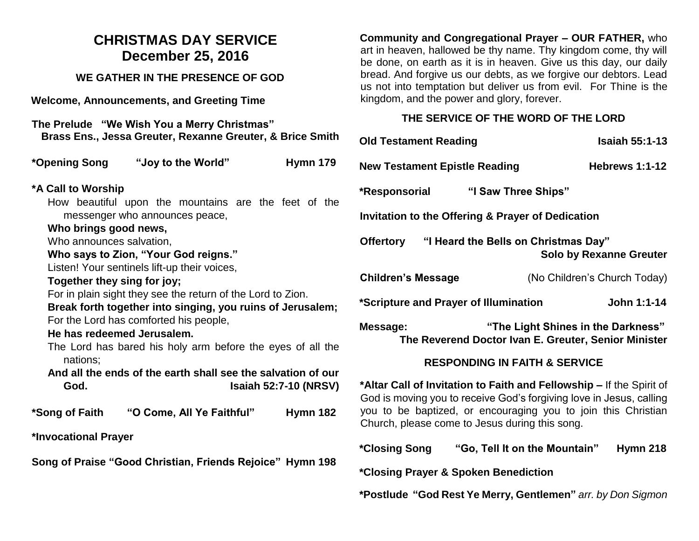### **CHRISTMAS DAY SERVICE December 25, 2016**

#### **WE GATHER IN THE PRESENCE OF GOD**

**Welcome, Announcements, and Greeting Time** 

| The Prelude "We Wish You a Merry Christmas"<br>Brass Ens., Jessa Greuter, Rexanne Greuter, & Brice Smith                  | O                                  |  |
|---------------------------------------------------------------------------------------------------------------------------|------------------------------------|--|
| *Opening Song<br>"Joy to the World"                                                                                       | <b>Hymn 179</b><br>N <sub>0</sub>  |  |
| *A Call to Worship                                                                                                        | *F                                 |  |
| How beautiful upon the mountains are the feet of the                                                                      |                                    |  |
| messenger who announces peace,                                                                                            | In                                 |  |
| Who brings good news,                                                                                                     |                                    |  |
| Who announces salvation,                                                                                                  | Ο                                  |  |
| Who says to Zion, "Your God reigns."                                                                                      |                                    |  |
| Listen! Your sentinels lift-up their voices,<br>C                                                                         |                                    |  |
| Together they sing for joy;                                                                                               |                                    |  |
| For in plain sight they see the return of the Lord to Zion.<br>Break forth together into singing, you ruins of Jerusalem; |                                    |  |
| For the Lord has comforted his people,                                                                                    |                                    |  |
| He has redeemed Jerusalem.                                                                                                | M                                  |  |
| The Lord has bared his holy arm before the eyes of all the<br>nations;                                                    |                                    |  |
| And all the ends of the earth shall see the salvation of our                                                              |                                    |  |
| God.                                                                                                                      | */<br><b>Isaiah 52:7-10 (NRSV)</b> |  |
|                                                                                                                           | G                                  |  |
| "O Come, All Ye Faithful"<br>*Song of Faith                                                                               | y(<br><b>Hymn 182</b><br>С         |  |
| *Invocational Prayer                                                                                                      |                                    |  |
|                                                                                                                           | $\overline{\mathbf{C}}$            |  |
| Song of Praise "Good Christian, Friends Rejoice" Hymn 198                                                                 |                                    |  |
|                                                                                                                           | *C                                 |  |
|                                                                                                                           |                                    |  |

**Community and Congregational Prayer – OUR FATHER,** who art in heaven, hallowed be thy name. Thy kingdom come, thy will be done, on earth as it is in heaven. Give us this day, our daily bread. And forgive us our debts, as we forgive our debtors. Lead us not into temptation but deliver us from evil. For Thine is the kingdom, and the power and glory, forever.

#### **THE SERVICE OF THE WORD OF THE LORD**

| :h | <b>Old Testament Reading</b>                                                                                                                |                                                                                                                 | <b>Isaiah 55:1-13</b>          |  |
|----|---------------------------------------------------------------------------------------------------------------------------------------------|-----------------------------------------------------------------------------------------------------------------|--------------------------------|--|
| 9  | <b>New Testament Epistle Reading</b>                                                                                                        |                                                                                                                 | <b>Hebrews 1:1-12</b>          |  |
| ۱e | *Responsorial                                                                                                                               | "I Saw Three Ships"                                                                                             |                                |  |
|    | <b>Invitation to the Offering &amp; Prayer of Dedication</b>                                                                                |                                                                                                                 |                                |  |
|    | <b>Offertory</b>                                                                                                                            | "I Heard the Bells on Christmas Day"                                                                            | <b>Solo by Rexanne Greuter</b> |  |
|    | <b>Children's Message</b>                                                                                                                   |                                                                                                                 | (No Children's Church Today)   |  |
| ì. | *Scripture and Prayer of Illumination                                                                                                       |                                                                                                                 | John 1:1-14                    |  |
| ۱e | "The Light Shines in the Darkness"<br>Message:<br>The Reverend Doctor Ivan E. Greuter, Senior Minister                                      |                                                                                                                 |                                |  |
| J٢ |                                                                                                                                             | <b>RESPONDING IN FAITH &amp; SERVICE</b>                                                                        |                                |  |
| (/ | *Altar Call of Invitation to Faith and Fellowship – If the Spirit of<br>God is moving you to receive God's forgiving love in Jesus, calling |                                                                                                                 |                                |  |
| 2  |                                                                                                                                             | you to be baptized, or encouraging you to join this Christian<br>Church, please come to Jesus during this song. |                                |  |
| 8  | *Closing Song                                                                                                                               | "Go, Tell It on the Mountain"                                                                                   | <b>Hymn 218</b>                |  |
|    |                                                                                                                                             |                                                                                                                 |                                |  |

**\*Postlude "God Rest Ye Merry, Gentlemen"** *arr. by Don Sigmon*